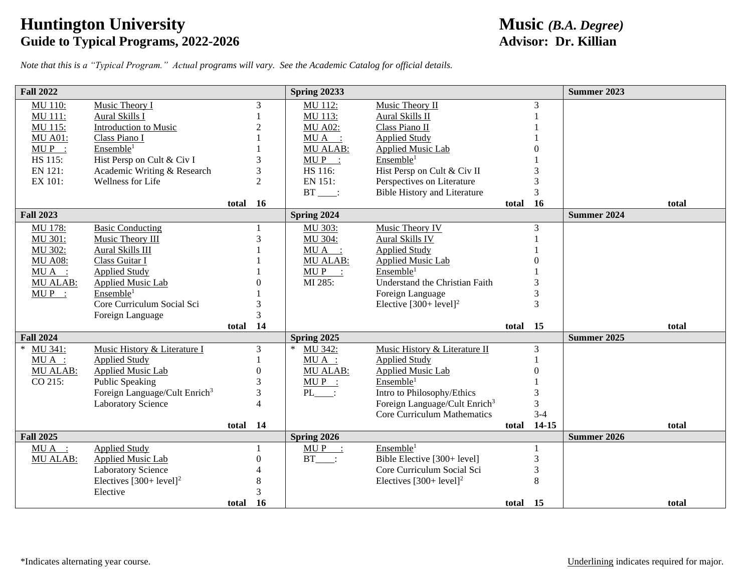## **Huntington University**<br> **Guide to Typical Programs, 2022-2026**<br> **Advisor: Dr. Killian Guide to Typical Programs, 2022-2026**

*Note that this is a "Typical Program." Actual programs will vary. See the Academic Catalog for official details.*

| <b>Fall 2022</b> |                                                                        |               |                     | <b>Spring 20233</b>   |                                                                         |          |           | <b>Summer 2023</b> |  |
|------------------|------------------------------------------------------------------------|---------------|---------------------|-----------------------|-------------------------------------------------------------------------|----------|-----------|--------------------|--|
| <b>MU 110:</b>   | Music Theory I                                                         |               | 3                   | MU 112:               | Music Theory II                                                         |          | 3         |                    |  |
| MU 111:          | Aural Skills I                                                         |               |                     | MU 113:               | Aural Skills II                                                         |          |           |                    |  |
| MU 115:          | Introduction to Music                                                  |               | $\overline{c}$      | <b>MU A02:</b>        | Class Piano II                                                          |          |           |                    |  |
| <b>MU A01:</b>   | Class Piano I                                                          |               |                     | MUA :                 | <b>Applied Study</b>                                                    |          |           |                    |  |
| $MU P$ :         | Ensemble <sup>1</sup>                                                  |               |                     | <b>MU ALAB:</b>       | <b>Applied Music Lab</b>                                                |          |           |                    |  |
| HS 115:          | Hist Persp on Cult & Civ I                                             | 3             |                     | $MUP$ :               | Ensemble <sup>1</sup>                                                   |          |           |                    |  |
| EN 121:          | Academic Writing & Research                                            |               | 3                   | HS 116:               | Hist Persp on Cult & Civ II                                             |          |           |                    |  |
| EX 101:          | Wellness for Life                                                      |               | $\overline{2}$      | EN 151:               | Perspectives on Literature                                              |          |           |                    |  |
|                  |                                                                        |               |                     | $BT$ :                | <b>Bible History and Literature</b>                                     |          | 3         |                    |  |
|                  |                                                                        | total 16      |                     |                       |                                                                         | total    | <b>16</b> | total              |  |
| <b>Fall 2023</b> |                                                                        |               |                     | Spring 2024           |                                                                         |          |           | <b>Summer 2024</b> |  |
| MU 178:          | <b>Basic Conducting</b>                                                |               |                     | MU 303:               | Music Theory IV                                                         |          | 3         |                    |  |
| MU 301:          | Music Theory III                                                       | $\mathcal{R}$ |                     | MU 304:               | Aural Skills IV                                                         |          |           |                    |  |
| MU 302:          | Aural Skills III                                                       |               |                     | MUA :                 | <b>Applied Study</b>                                                    |          |           |                    |  |
| <b>MU A08:</b>   | Class Guitar I                                                         |               |                     | <b>MU ALAB:</b>       | <b>Applied Music Lab</b>                                                |          |           |                    |  |
| $MUA$ :          | <b>Applied Study</b>                                                   |               |                     | $MUP$ :               | Ensemble <sup>1</sup>                                                   |          |           |                    |  |
| <b>MU ALAB:</b>  | <b>Applied Music Lab</b>                                               |               |                     | MI 285:               | <b>Understand the Christian Faith</b>                                   |          |           |                    |  |
| $MUP$ :          | Ensemble <sup>1</sup>                                                  |               |                     |                       | Foreign Language                                                        |          | 3         |                    |  |
|                  | Core Curriculum Social Sci                                             | 3             |                     |                       | Elective $[300+level]^2$                                                |          | 3         |                    |  |
|                  | Foreign Language                                                       | $\mathcal{R}$ |                     |                       |                                                                         |          |           |                    |  |
|                  |                                                                        | total 14      |                     |                       |                                                                         | total    | 15        | total              |  |
| <b>Fall 2024</b> |                                                                        |               |                     | Spring 2025<br>$\ast$ |                                                                         |          |           | <b>Summer 2025</b> |  |
| MU 341:          | Music History & Literature I                                           |               | $\mathfrak{Z}$      | MU 342:               | Music History & Literature II                                           |          | 3         |                    |  |
| $MU A$ :         | <b>Applied Study</b>                                                   |               |                     | $MU A$ :              | <b>Applied Study</b>                                                    |          |           |                    |  |
| MU ALAB:         | <b>Applied Music Lab</b>                                               |               | $\theta$            | <b>MU ALAB:</b>       | <b>Applied Music Lab</b><br>Ensemble <sup>1</sup>                       |          |           |                    |  |
| CO 215:          | Public Speaking                                                        | 3             |                     | $MUP$ :               |                                                                         |          |           |                    |  |
|                  | Foreign Language/Cult Enrich <sup>3</sup><br><b>Laboratory Science</b> |               | 3<br>$\overline{4}$ | PL :                  | Intro to Philosophy/Ethics<br>Foreign Language/Cult Enrich <sup>3</sup> |          |           |                    |  |
|                  |                                                                        |               |                     |                       | Core Curriculum Mathematics                                             |          | $3-4$     |                    |  |
|                  |                                                                        | total 14      |                     |                       |                                                                         | total    | $14 - 15$ | total              |  |
| <b>Fall 2025</b> |                                                                        |               |                     | Spring 2026           |                                                                         |          |           | <b>Summer 2026</b> |  |
| $MU A$ :         | <b>Applied Study</b>                                                   |               |                     | $MUP$ :               | Ensemble <sup>1</sup>                                                   |          |           |                    |  |
| MU ALAB:         | <b>Applied Music Lab</b>                                               |               | $\Omega$            | $BT$ :                | Bible Elective [300+ level]                                             |          | 3         |                    |  |
|                  | <b>Laboratory Science</b>                                              |               |                     |                       | Core Curriculum Social Sci                                              |          | 3         |                    |  |
|                  | Electives $[300+level]^2$                                              |               | 8                   |                       | Electives $[300+level]^2$                                               |          | 8         |                    |  |
|                  | Elective                                                               |               | 3                   |                       |                                                                         |          |           |                    |  |
|                  |                                                                        | total 16      |                     |                       |                                                                         | total 15 |           | total              |  |